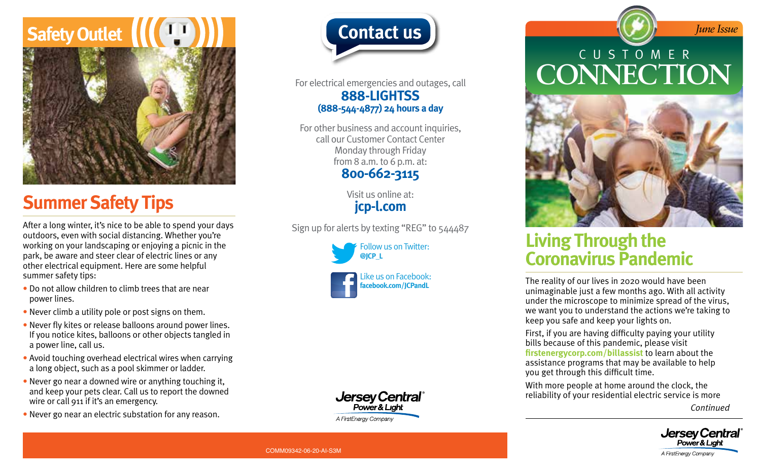# **Safety Outlet**



### **Summer Safety Tips**

After a long winter, it's nice to be able to spend your days outdoors, even with social distancing. Whether you're working on your landscaping or enjoying a picnic in the park, be aware and steer clear of electric lines or any other electrical equipment. Here are some helpful summer safety tips:

- Do not allow children to climb trees that are near power lines.
- Never climb a utility pole or post signs on them.
- Never fly kites or release balloons around power lines. If you notice kites, balloons or other objects tangled in a power line, call us.
- Avoid touching overhead electrical wires when carrying a long object, such as a pool skimmer or ladder.
- Never go near a downed wire or anything touching it, and keep your pets clear. Call us to report the downed wire or call 911 if it's an emergency.
- Never go near an electric substation for any reason.



For electrical emergencies and outages, call **888-LIGHTSS (888-544-4877) 24 hours a day**

For other business and account inquiries, call our Customer Contact Center Monday through Friday from 8 a.m. to 6 p.m. at: **800-662-3115**

> Visit us online at: **[jcp-l.com](https://www.firstenergycorp.com/jersey_central_power_light.html)**

Sign up for alerts by texting "REG" to 544487





**Jersey Central** Power & Light A FirstEnergy Company

## CUSTOMER **CONNECTION**



### **Living Through the Coronavirus Pandemic**

The reality of our lives in 2020 would have been unimaginable just a few months ago. With all activity under the microscope to minimize spread of the virus, we want you to understand the actions we're taking to keep you safe and keep your lights on.

First, if you are having difficulty paying your utility bills because of this pandemic, please visit **[firstenergycorp.com/billassist](https://firstenergycorp.com/help/billingpayments/assistance_serviceprogram.html)** to learn about the assistance programs that may be available to help you get through this difficult time.

With more people at home around the clock, the reliability of your residential electric service is more

*Continued*

*June Issue*



COMM09342-06-20-AI-S3M